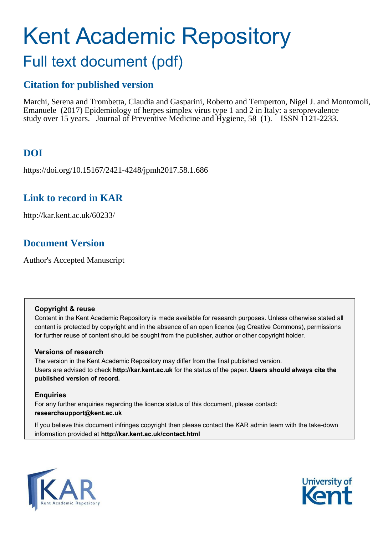# Kent Academic Repository Full text document (pdf)

# **Citation for published version**

Marchi, Serena and Trombetta, Claudia and Gasparini, Roberto and Temperton, Nigel J. and Montomoli, Emanuele (2017) Epidemiology of herpes simplex virus type 1 and 2 in Italy: a seroprevalence study over 15 years. Journal of Preventive Medicine and Hygiene, 58 (1). ISSN 1121-2233.

# **DOI**

https://doi.org/10.15167/2421-4248/jpmh2017.58.1.686

## **Link to record in KAR**

http://kar.kent.ac.uk/60233/

# **Document Version**

Author's Accepted Manuscript

#### **Copyright & reuse**

Content in the Kent Academic Repository is made available for research purposes. Unless otherwise stated all content is protected by copyright and in the absence of an open licence (eg Creative Commons), permissions for further reuse of content should be sought from the publisher, author or other copyright holder.

#### **Versions of research**

The version in the Kent Academic Repository may differ from the final published version. Users are advised to check **http://kar.kent.ac.uk** for the status of the paper. **Users should always cite the published version of record.**

#### **Enquiries**

For any further enquiries regarding the licence status of this document, please contact: **researchsupport@kent.ac.uk**

If you believe this document infringes copyright then please contact the KAR admin team with the take-down information provided at **http://kar.kent.ac.uk/contact.html**



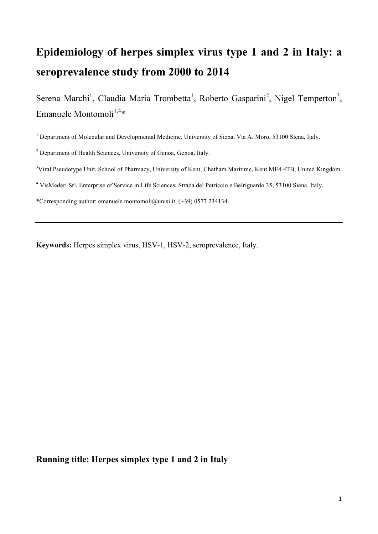# **Epidemiology of herpes simplex virus type 1 and 2 in Italy: a seroprevalence study from 2000 to 2014**

Serena Marchi<sup>1</sup>, Claudia Maria Trombetta<sup>1</sup>, Roberto Gasparini<sup>2</sup>, Nigel Temperton<sup>3</sup>, Emanuele Montomoli $1,4*$ 

<sup>1</sup> Department of Molecular and Developmental Medicine, University of Siena, Via A. Moro, 53100 Siena, Italy.

<sup>2</sup> Department of Health Sciences, University of Genoa, Genoa, Italy.

<sup>3</sup>Viral Pseudotype Unit, School of Pharmacy, University of Kent, Chatham Maritime, Kent ME4 4TB, United Kingdom.

<sup>4</sup> VisMederi Srl, Enterprise of Service in Life Sciences, Strada del Petriccio e Belriguardo 35, 53100 Siena, Italy.

\*Corresponding author: emanuele.montomoli@unisi.it, (+39) 0577 234134.

**Keywords:** Herpes simplex virus, HSV-1, HSV-2, seroprevalence, Italy.

**Running title: Herpes simplex type 1 and 2 in Italy**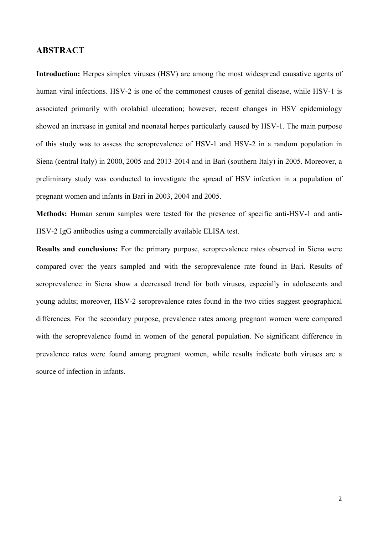#### **ABSTRACT**

**Introduction:** Herpes simplex viruses (HSV) are among the most widespread causative agents of human viral infections. HSV-2 is one of the commonest causes of genital disease, while HSV-1 is associated primarily with orolabial ulceration; however, recent changes in HSV epidemiology showed an increase in genital and neonatal herpes particularly caused by HSV-1. The main purpose of this study was to assess the seroprevalence of HSV-1 and HSV-2 in a random population in Siena (central Italy) in 2000, 2005 and 2013-2014 and in Bari (southern Italy) in 2005. Moreover, a preliminary study was conducted to investigate the spread of HSV infection in a population of pregnant women and infants in Bari in 2003, 2004 and 2005.

**Methods:** Human serum samples were tested for the presence of specific anti-HSV-1 and anti-HSV-2 IgG antibodies using a commercially available ELISA test.

**Results and conclusions:** For the primary purpose, seroprevalence rates observed in Siena were compared over the years sampled and with the seroprevalence rate found in Bari. Results of seroprevalence in Siena show a decreased trend for both viruses, especially in adolescents and young adults; moreover, HSV-2 seroprevalence rates found in the two cities suggest geographical differences. For the secondary purpose, prevalence rates among pregnant women were compared with the seroprevalence found in women of the general population. No significant difference in prevalence rates were found among pregnant women, while results indicate both viruses are a source of infection in infants.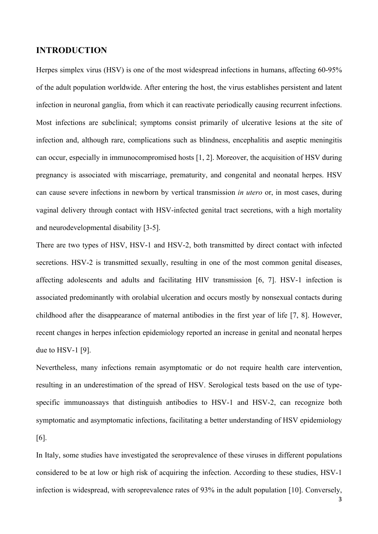#### **INTRODUCTION**

Herpes simplex virus (HSV) is one of the most widespread infections in humans, affecting 60-95% of the adult population worldwide. After entering the host, the virus establishes persistent and latent infection in neuronal ganglia, from which it can reactivate periodically causing recurrent infections. Most infections are subclinical; symptoms consist primarily of ulcerative lesions at the site of infection and, although rare, complications such as blindness, encephalitis and aseptic meningitis can occur, especially in immunocompromised hosts [1, 2]. Moreover, the acquisition of HSV during pregnancy is associated with miscarriage, prematurity, and congenital and neonatal herpes. HSV can cause severe infections in newborn by vertical transmission *in utero* or, in most cases, during vaginal delivery through contact with HSV-infected genital tract secretions, with a high mortality and neurodevelopmental disability [3-5].

There are two types of HSV, HSV-1 and HSV-2, both transmitted by direct contact with infected secretions. HSV-2 is transmitted sexually, resulting in one of the most common genital diseases, affecting adolescents and adults and facilitating HIV transmission [6, 7]. HSV-1 infection is associated predominantly with orolabial ulceration and occurs mostly by nonsexual contacts during childhood after the disappearance of maternal antibodies in the first year of life [7, 8]. However, recent changes in herpes infection epidemiology reported an increase in genital and neonatal herpes due to HSV-1 [9].

Nevertheless, many infections remain asymptomatic or do not require health care intervention, resulting in an underestimation of the spread of HSV. Serological tests based on the use of typespecific immunoassays that distinguish antibodies to HSV-1 and HSV-2, can recognize both symptomatic and asymptomatic infections, facilitating a better understanding of HSV epidemiology [6].

In Italy, some studies have investigated the seroprevalence of these viruses in different populations considered to be at low or high risk of acquiring the infection. According to these studies, HSV-1 infection is widespread, with seroprevalence rates of 93% in the adult population [10]. Conversely,

3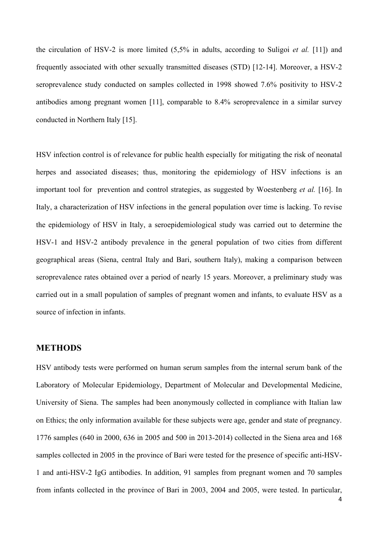the circulation of HSV-2 is more limited (5,5% in adults, according to Suligoi *et al.* [11]) and frequently associated with other sexually transmitted diseases (STD) [12-14]. Moreover, a HSV-2 seroprevalence study conducted on samples collected in 1998 showed 7.6% positivity to HSV-2 antibodies among pregnant women [11], comparable to 8.4% seroprevalence in a similar survey conducted in Northern Italy [15].

HSV infection control is of relevance for public health especially for mitigating the risk of neonatal herpes and associated diseases; thus, monitoring the epidemiology of HSV infections is an important tool for prevention and control strategies, as suggested by Woestenberg *et al.* [16]. In Italy, a characterization of HSV infections in the general population over time is lacking. To revise the epidemiology of HSV in Italy, a seroepidemiological study was carried out to determine the HSV-1 and HSV-2 antibody prevalence in the general population of two cities from different geographical areas (Siena, central Italy and Bari, southern Italy), making a comparison between seroprevalence rates obtained over a period of nearly 15 years. Moreover, a preliminary study was carried out in a small population of samples of pregnant women and infants, to evaluate HSV as a source of infection in infants.

#### **METHODS**

HSV antibody tests were performed on human serum samples from the internal serum bank of the Laboratory of Molecular Epidemiology, Department of Molecular and Developmental Medicine, University of Siena. The samples had been anonymously collected in compliance with Italian law on Ethics; the only information available for these subjects were age, gender and state of pregnancy. 1776 samples (640 in 2000, 636 in 2005 and 500 in 2013-2014) collected in the Siena area and 168 samples collected in 2005 in the province of Bari were tested for the presence of specific anti-HSV-1 and anti-HSV-2 IgG antibodies. In addition, 91 samples from pregnant women and 70 samples from infants collected in the province of Bari in 2003, 2004 and 2005, were tested. In particular,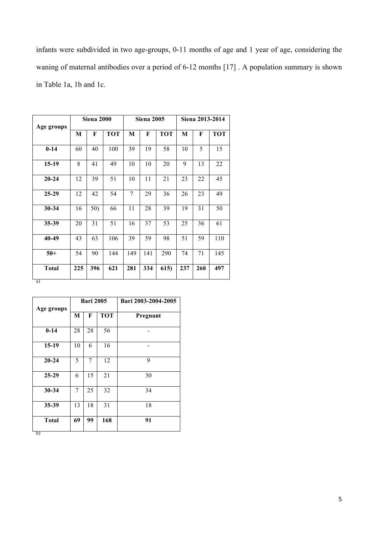infants were subdivided in two age-groups, 0-11 months of age and 1 year of age, considering the waning of maternal antibodies over a period of 6-12 months [17] . A population summary is shown in Table 1a, 1b and 1c.

| Age groups   |     | <b>Siena 2000</b> |            |     | <b>Siena 2005</b> |            | Siena 2013-2014 |     |            |  |
|--------------|-----|-------------------|------------|-----|-------------------|------------|-----------------|-----|------------|--|
|              | M   | F                 | <b>TOT</b> | M   | F                 | <b>TOT</b> | M               | F   | <b>TOT</b> |  |
| $0 - 14$     | 60  | 40                | 100        | 39  | 19                | 58         | 10              | 5   | 15         |  |
| $15-19$      | 8   | 41                | 49         | 10  | 10                | 20         | 9               | 13  | 22         |  |
| $20 - 24$    | 12  | 39                | 51         | 10  | 11                | 21         | 23              | 22  | 45         |  |
| $25-29$      | 12  | 42                | 54         | 7   | 29                | 36         | 26              | 23  | 49         |  |
| $30 - 34$    | 16  | 50)               | 66         | 11  | 28                | 39         | 19              | 31  | 50         |  |
| 35-39        | 20  | 31                | 51         | 16  | 37                | 53         | 25              | 36  | 61         |  |
| 40-49        | 43  | 63                | 106        | 39  | 59                | 98         | 51              | 59  | 110        |  |
| $50+$        | 54  | 90                | 144        | 149 | 141               | 290        | 74              | 71  | 145        |  |
| <b>Total</b> | 225 | 396               | 621        | 281 | 334               | 615)       | 237             | 260 | 497        |  |
| a)           |     |                   |            |     |                   |            |                 |     |            |  |

|              |    | <b>Bari 2005</b> |            | Bari 2003-2004-2005 |
|--------------|----|------------------|------------|---------------------|
| Age groups   | M  | F                | <b>TOT</b> | Pregnant            |
| $0 - 14$     | 28 | 28               | 56         |                     |
| $15-19$      | 10 | 6                | 16         |                     |
| $20 - 24$    | 5  | 7                | 12         | 9                   |
| $25 - 29$    | 6  | 15               | 21         | 30                  |
| 30-34        | 7  | 25               | 32         | 34                  |
| 35-39        | 13 | 18               | 31         | 18                  |
| <b>Total</b> | 69 | 99               | 168        | 91                  |

 $\overline{b)}$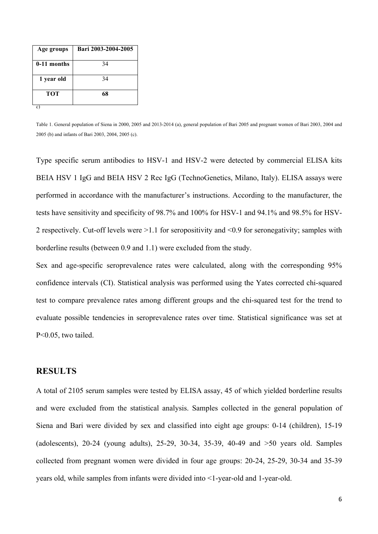| Age groups  | Bari 2003-2004-2005 |
|-------------|---------------------|
| 0-11 months | 34                  |
| 1 year old  | 34                  |
| тот         | 68                  |
|             |                     |

Table 1. General population of Siena in 2000, 2005 and 2013-2014 (a), general population of Bari 2005 and pregnant women of Bari 2003, 2004 and 2005 (b) and infants of Bari 2003, 2004, 2005 (c).

Type specific serum antibodies to HSV-1 and HSV-2 were detected by commercial ELISA kits BEIA HSV 1 IgG and BEIA HSV 2 Rec IgG (TechnoGenetics, Milano, Italy). ELISA assays were performed in accordance with the manufacturer's instructions. According to the manufacturer, the tests have sensitivity and specificity of 98.7% and 100% for HSV-1 and 94.1% and 98.5% for HSV-2 respectively. Cut-off levels were >1.1 for seropositivity and <0.9 for seronegativity; samples with borderline results (between 0.9 and 1.1) were excluded from the study.

Sex and age-specific seroprevalence rates were calculated, along with the corresponding 95% confidence intervals (CI). Statistical analysis was performed using the Yates corrected chi-squared test to compare prevalence rates among different groups and the chi-squared test for the trend to evaluate possible tendencies in seroprevalence rates over time. Statistical significance was set at P<0.05, two tailed.

#### **RESULTS**

A total of 2105 serum samples were tested by ELISA assay, 45 of which yielded borderline results and were excluded from the statistical analysis. Samples collected in the general population of Siena and Bari were divided by sex and classified into eight age groups: 0-14 (children), 15-19 (adolescents), 20-24 (young adults), 25-29, 30-34, 35-39, 40-49 and >50 years old. Samples collected from pregnant women were divided in four age groups: 20-24, 25-29, 30-34 and 35-39 years old, while samples from infants were divided into <1-year-old and 1-year-old.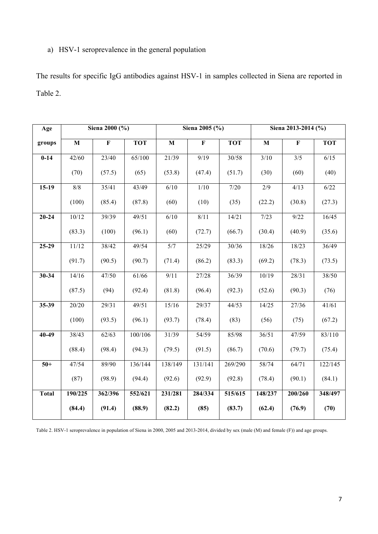#### a) HSV-1 seroprevalence in the general population

The results for specific IgG antibodies against HSV-1 in samples collected in Siena are reported in Table 2.

| Age          |             | Siena 2000 (%) |            |             | Siena 2005 (%) |            |             | Siena 2013-2014 (%) |            |  |
|--------------|-------------|----------------|------------|-------------|----------------|------------|-------------|---------------------|------------|--|
| groups       | $\mathbf M$ | $\mathbf F$    | <b>TOT</b> | $\mathbf M$ | $\mathbf F$    | <b>TOT</b> | $\mathbf M$ | $\mathbf F$         | <b>TOT</b> |  |
| $0 - 14$     | 42/60       | 23/40          | 65/100     | 21/39       | 9/19           | 30/58      | 3/10        | 3/5                 | $6/15$     |  |
|              | (70)        | (57.5)         | (65)       | (53.8)      | (47.4)         | (51.7)     | (30)        | (60)                | (40)       |  |
| $15-19$      | 8/8         | 35/41          | 43/49      | 6/10        | 1/10           | 7/20       | 2/9         | 4/13                | 6/22       |  |
|              | (100)       | (85.4)         | (87.8)     | (60)        | (10)           | (35)       | (22.2)      | (30.8)              | (27.3)     |  |
| $20 - 24$    | 10/12       | 39/39          | 49/51      | 6/10        | 8/11           | 14/21      | 7/23        | 9/22                | 16/45      |  |
|              | (83.3)      | (100)          | (96.1)     | (60)        | (72.7)         | (66.7)     | (30.4)      | (40.9)              | (35.6)     |  |
| $25-29$      | 11/12       | 38/42          | 49/54      | 5/7         | 25/29          | 30/36      | 18/26       | 18/23               | 36/49      |  |
|              | (91.7)      | (90.5)         | (90.7)     | (71.4)      | (86.2)         | (83.3)     | (69.2)      | (78.3)              | (73.5)     |  |
| $30 - 34$    | 14/16       | 47/50          | 61/66      | 9/11        | 27/28          | 36/39      | 10/19       | 28/31               | 38/50      |  |
|              | (87.5)      | (94)           | (92.4)     | (81.8)      | (96.4)         | (92.3)     | (52.6)      | (90.3)              | (76)       |  |
| $35 - 39$    | 20/20       | 29/31          | 49/51      | 15/16       | 29/37          | 44/53      | 14/25       | 27/36               | 41/61      |  |
|              | (100)       | (93.5)         | (96.1)     | (93.7)      | (78.4)         | (83)       | (56)        | (75)                | (67.2)     |  |
| $40 - 49$    | 38/43       | 62/63          | 100/106    | 31/39       | 54/59          | 85/98      | 36/51       | 47/59               | 83/110     |  |
|              | (88.4)      | (98.4)         | (94.3)     | (79.5)      | (91.5)         | (86.7)     | (70.6)      | (79.7)              | (75.4)     |  |
| $50+$        | 47/54       | 89/90          | 136/144    | 138/149     | 131/141        | 269/290    | 58/74       | 64/71               | 122/145    |  |
|              | (87)        | (98.9)         | (94.4)     | (92.6)      | (92.9)         | (92.8)     | (78.4)      | (90.1)              | (84.1)     |  |
| <b>Total</b> | 190/225     | 362/396        | 552/621    | 231/281     | 284/334        | 515/615    | 148/237     | 200/260             | 348/497    |  |
|              | (84.4)      | (91.4)         | (88.9)     | (82.2)      | (85)           | (83.7)     | (62.4)      | (76.9)              | (70)       |  |

Table 2. HSV-1 seroprevalence in population of Siena in 2000, 2005 and 2013-2014, divided by sex (male (M) and female (F)) and age groups.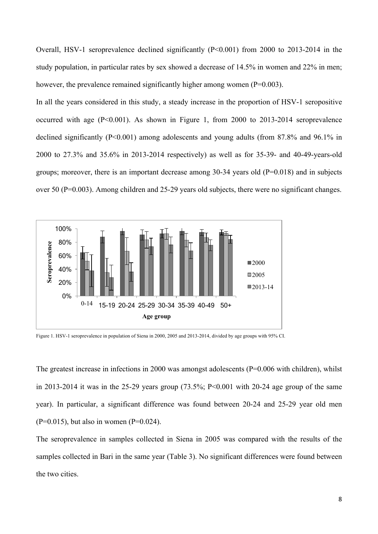Overall, HSV-1 seroprevalence declined significantly (P<0.001) from 2000 to 2013-2014 in the study population, in particular rates by sex showed a decrease of 14.5% in women and 22% in men; however, the prevalence remained significantly higher among women (P=0.003).

In all the years considered in this study, a steady increase in the proportion of HSV-1 seropositive occurred with age  $(P<0.001)$ . As shown in Figure 1, from 2000 to 2013-2014 seroprevalence declined significantly (P<0.001) among adolescents and young adults (from 87.8% and 96.1% in 2000 to 27.3% and 35.6% in 2013-2014 respectively) as well as for 35-39- and 40-49-years-old groups; moreover, there is an important decrease among 30-34 years old (P=0.018) and in subjects over 50 (P=0.003). Among children and 25-29 years old subjects, there were no significant changes.



Figure 1. HSV-1 seroprevalence in population of Siena in 2000, 2005 and 2013-2014, divided by age groups with 95% CI.

The greatest increase in infections in 2000 was amongst adolescents (P=0.006 with children), whilst in 2013-2014 it was in the 25-29 years group  $(73.5\%; P<0.001$  with 20-24 age group of the same year). In particular, a significant difference was found between 20-24 and 25-29 year old men  $(P=0.015)$ , but also in women  $(P=0.024)$ .

The seroprevalence in samples collected in Siena in 2005 was compared with the results of the samples collected in Bari in the same year (Table 3). No significant differences were found between the two cities.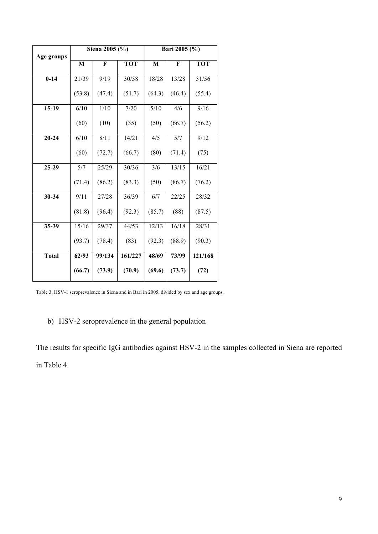| Age groups   |        | Siena 2005 (%) |            | Bari 2005 (%) |        |            |
|--------------|--------|----------------|------------|---------------|--------|------------|
|              | M      | F              | <b>TOT</b> | M             | F      | <b>TOT</b> |
| $0-14$       | 21/39  | 9/19           | 30/58      | 18/28         | 13/28  | 31/56      |
|              | (53.8) | (47.4)         | (51.7)     | (64.3)        | (46.4) | (55.4)     |
| 15-19        | 6/10   | 1/10           | 7/20       | 5/10          | 4/6    | 9/16       |
|              | (60)   | (10)           | (35)       | (50)          | (66.7) | (56.2)     |
| $20 - 24$    | 6/10   | 8/11           | 14/21      | 4/5           | 5/7    | 9/12       |
|              | (60)   | (72.7)         | (66.7)     | (80)          | (71.4) | (75)       |
| 25-29        | 5/7    | 25/29          | 30/36      | 3/6           | 13/15  | 16/21      |
|              | (71.4) | (86.2)         | (83.3)     | (50)          | (86.7) | (76.2)     |
| 30-34        | 9/11   | 27/28          | 36/39      | 6/7           | 22/25  | 28/32      |
|              | (81.8) | (96.4)         | (92.3)     | (85.7)        | (88)   | (87.5)     |
| 35-39        | 15/16  | 29/37          | 44/53      | 12/13         | 16/18  | 28/31      |
|              | (93.7) | (78.4)         | (83)       | (92.3)        | (88.9) | (90.3)     |
| <b>Total</b> | 62/93  | 99/134         | 161/227    | 48/69         | 73/99  | 121/168    |
|              | (66.7) | (73.9)         | (70.9)     | (69.6)        | (73.7) | (72)       |

Table 3. HSV-1 seroprevalence in Siena and in Bari in 2005, divided by sex and age groups.

### b) HSV-2 seroprevalence in the general population

The results for specific IgG antibodies against HSV-2 in the samples collected in Siena are reported in Table 4.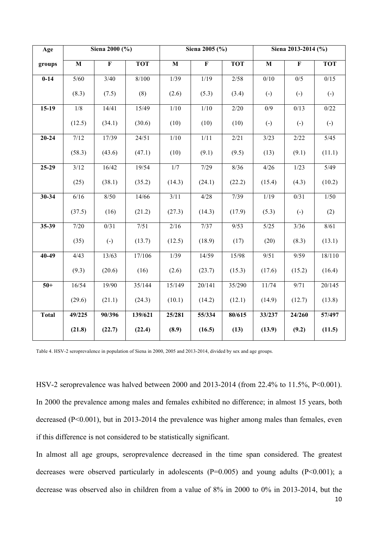| Age          |                   | Siena 2000 (%)          |            | Siena 2005 (%) |                         |            | Siena 2013-2014 (%)     |                         |                        |
|--------------|-------------------|-------------------------|------------|----------------|-------------------------|------------|-------------------------|-------------------------|------------------------|
| groups       | $\mathbf M$       | $\overline{\mathbf{F}}$ | <b>TOT</b> | $\mathbf{M}$   | $\overline{\mathbf{F}}$ | <b>TOT</b> | $\overline{\mathbf{M}}$ | $\overline{\mathbf{F}}$ | <b>TOT</b>             |
| $0 - 14$     | $\overline{5/60}$ | 3/40                    | 8/100      | 1/39           | 1/19                    | 2/58       | 0/10                    | $\overline{0/5}$        | $\overline{0/15}$      |
|              | (8.3)             | (7.5)                   | (8)        | (2.6)          | (5.3)                   | (3.4)      | $\left( \cdot \right)$  | $\left( \cdot \right)$  | $\left( \cdot \right)$ |
| $15-19$      | 1/8               | 14/41                   | 15/49      | 1/10           | 1/10                    | 2/20       | $\overline{0/9}$        | 0/13                    | 0/22                   |
|              | (12.5)            | (34.1)                  | (30.6)     | (10)           | (10)                    | (10)       | $\left( -\right)$       | $\left( \cdot \right)$  | $\left( \cdot \right)$ |
| $20 - 24$    | 7/12              | 17/39                   | 24/51      | 1/10           | 1/11                    | 2/21       | $\frac{3}{23}$          | 2/22                    | 5/45                   |
|              | (58.3)            | (43.6)                  | (47.1)     | (10)           | (9.1)                   | (9.5)      | (13)                    | (9.1)                   | (11.1)                 |
| $25-29$      | $\frac{3}{12}$    | 16/42                   | 19/54      | $1/7$          | 7/29                    | 8/36       | 4/26                    | $\frac{1}{23}$          | 5/49                   |
|              | (25)              | (38.1)                  | (35.2)     | (14.3)         | (24.1)                  | (22.2)     | (15.4)                  | (4.3)                   | (10.2)                 |
| 30-34        | $6/16$            | $8/50$                  | 14/66      | 3/11           | 4/28                    | 7/39       | 1/19                    | 0/31                    | $1/50$                 |
|              | (37.5)            | (16)                    | (21.2)     | (27.3)         | (14.3)                  | (17.9)     | (5.3)                   | $\left( \cdot \right)$  | (2)                    |
| $35 - 39$    | 7/20              | $\overline{0/31}$       | 7/51       | 2/16           | 7/37                    | 9/53       | $\frac{5}{25}$          | $\frac{3}{36}$          | 8/61                   |
|              | (35)              | $\left( \cdot \right)$  | (13.7)     | (12.5)         | (18.9)                  | (17)       | (20)                    | (8.3)                   | (13.1)                 |
| $40 - 49$    | 4/43              | 13/63                   | 17/106     | 1/39           | 14/59                   | 15/98      | 9/51                    | 9/59                    | 18/110                 |
|              | (9.3)             | (20.6)                  | (16)       | (2.6)          | (23.7)                  | (15.3)     | (17.6)                  | (15.2)                  | (16.4)                 |
| $50+$        | 16/54             | 19/90                   | 35/144     | 15/149         | 20/141                  | 35/290     | 11/74                   | 9/71                    | 20/145                 |
|              | (29.6)            | (21.1)                  | (24.3)     | (10.1)         | (14.2)                  | (12.1)     | (14.9)                  | (12.7)                  | (13.8)                 |
| <b>Total</b> | 49/225            | 90/396                  | 139/621    | 25/281         | 55/334                  | 80/615     | 33/237                  | 24/260                  | 57/497                 |
|              | (21.8)            | (22.7)                  | (22.4)     | (8.9)          | (16.5)                  | (13)       | (13.9)                  | (9.2)                   | (11.5)                 |

Table 4. HSV-2 seroprevalence in population of Siena in 2000, 2005 and 2013-2014, divided by sex and age groups.

HSV-2 seroprevalence was halved between 2000 and 2013-2014 (from 22.4% to 11.5%, P<0.001). In 2000 the prevalence among males and females exhibited no difference; in almost 15 years, both decreased (P<0.001), but in 2013-2014 the prevalence was higher among males than females, even if this difference is not considered to be statistically significant.

In almost all age groups, seroprevalence decreased in the time span considered. The greatest decreases were observed particularly in adolescents (P=0.005) and young adults (P<0.001); a decrease was observed also in children from a value of 8% in 2000 to 0% in 2013-2014, but the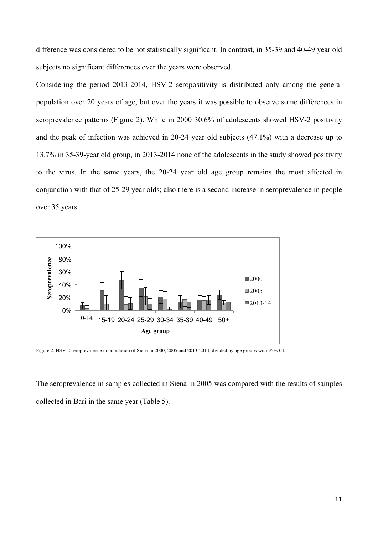difference was considered to be not statistically significant. In contrast, in 35-39 and 40-49 year old subjects no significant differences over the years were observed.

Considering the period 2013-2014, HSV-2 seropositivity is distributed only among the general population over 20 years of age, but over the years it was possible to observe some differences in seroprevalence patterns (Figure 2). While in 2000 30.6% of adolescents showed HSV-2 positivity and the peak of infection was achieved in 20-24 year old subjects (47.1%) with a decrease up to 13.7% in 35-39-year old group, in 2013-2014 none of the adolescents in the study showed positivity to the virus. In the same years, the 20-24 year old age group remains the most affected in conjunction with that of 25-29 year olds; also there is a second increase in seroprevalence in people over 35 years.



Figure 2. HSV-2 seroprevalence in population of Siena in 2000, 2005 and 2013-2014, divided by age groups with 95% CI.

The seroprevalence in samples collected in Siena in 2005 was compared with the results of samples collected in Bari in the same year (Table 5).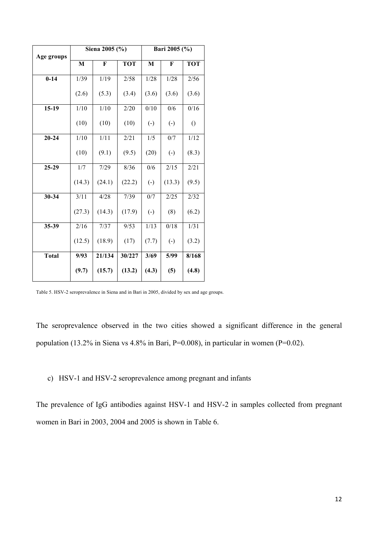| Age groups   |        | Siena 2005 (%) |            | Bari 2005 (%)          |                        |            |  |
|--------------|--------|----------------|------------|------------------------|------------------------|------------|--|
|              | M      | F              | <b>TOT</b> | M                      | F                      | <b>TOT</b> |  |
| $0 - 14$     | 1/39   | 1/19           | 2/58       | 1/28                   | 1/28                   | 2/56       |  |
|              | (2.6)  | (5.3)          | (3.4)      | (3.6)                  | (3.6)                  | (3.6)      |  |
| $15-19$      | 1/10   | 1/10           | 2/20       | 0/10                   | 0/6                    | 0/16       |  |
|              | (10)   | (10)           | (10)       | $\left( \cdot \right)$ | $\left( \cdot \right)$ | $\theta$   |  |
| $20 - 24$    | 1/10   | 1/11           | 2/21       | 1/5                    | 0/7                    | 1/12       |  |
|              | (10)   | (9.1)          | (9.5)      | (20)                   | $\left( \cdot \right)$ | (8.3)      |  |
| 25-29        | 1/7    | 7/29           | 8/36       | 0/6                    | 2/15                   | 2/21       |  |
|              | (14.3) | (24.1)         | (22.2)     | $\left( \cdot \right)$ | (13.3)                 | (9.5)      |  |
| 30-34        | 3/11   | 4/28           | 7/39       | 0/7                    | 2/25                   | 2/32       |  |
|              | (27.3) | (14.3)         | (17.9)     | $\left( \cdot \right)$ | (8)                    | (6.2)      |  |
| 35-39        | 2/16   | 7/37           | 9/53       | 1/13                   | 0/18                   | 1/31       |  |
|              | (12.5) | (18.9)         | (17)       | (7.7)                  | $\left( \cdot \right)$ | (3.2)      |  |
| <b>Total</b> | 9/93   | 21/134         | 30/227     | 3/69                   | 5/99                   | 8/168      |  |
|              | (9.7)  | (15.7)         | (13.2)     | (4.3)                  | (5)                    | (4.8)      |  |

Table 5. HSV-2 seroprevalence in Siena and in Bari in 2005, divided by sex and age groups.

The seroprevalence observed in the two cities showed a significant difference in the general population (13.2% in Siena vs 4.8% in Bari, P=0.008), in particular in women (P=0.02).

#### c) HSV-1 and HSV-2 seroprevalence among pregnant and infants

The prevalence of IgG antibodies against HSV-1 and HSV-2 in samples collected from pregnant women in Bari in 2003, 2004 and 2005 is shown in Table 6.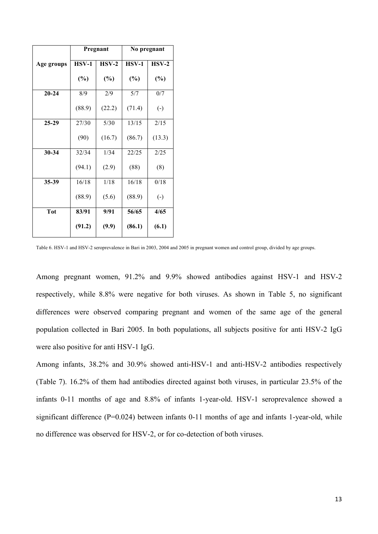|            |         | Pregnant | No pregnant |           |  |
|------------|---------|----------|-------------|-----------|--|
| Age groups | $HSV-1$ | $HSV-2$  | $HSV-1$     | $HSV-2$   |  |
|            | $(\%)$  | $(\%)$   | $(\%)$      | $(\%)$    |  |
| $20 - 24$  | 8/9     | 2/9      | 5/7         | 0/7       |  |
|            | (88.9)  | (22.2)   | (71.4)      | $(\cdot)$ |  |
| 25-29      | 27/30   | 5/30     | 13/15       | 2/15      |  |
|            | (90)    | (16.7)   | (86.7)      | (13.3)    |  |
| 30-34      | 32/34   | 1/34     | 22/25       | 2/25      |  |
|            | (94.1)  | (2.9)    | (88)        | (8)       |  |
| 35-39      | 16/18   | 1/18     | 16/18       | 0/18      |  |
|            | (88.9)  | (5.6)    | (88.9)      | $(\cdot)$ |  |
| <b>Tot</b> | 83/91   | 9/91     | 56/65       | 4/65      |  |
|            | (91.2)  | (9.9)    | (86.1)      | (6.1)     |  |

Table 6. HSV-1 and HSV-2 seroprevalence in Bari in 2003, 2004 and 2005 in pregnant women and control group, divided by age groups.

Among pregnant women, 91.2% and 9.9% showed antibodies against HSV-1 and HSV-2 respectively, while 8.8% were negative for both viruses. As shown in Table 5, no significant differences were observed comparing pregnant and women of the same age of the general population collected in Bari 2005. In both populations, all subjects positive for anti HSV-2 IgG were also positive for anti HSV-1 IgG.

Among infants, 38.2% and 30.9% showed anti-HSV-1 and anti-HSV-2 antibodies respectively (Table 7). 16.2% of them had antibodies directed against both viruses, in particular 23.5% of the infants 0-11 months of age and 8.8% of infants 1-year-old. HSV-1 seroprevalence showed a significant difference (P=0.024) between infants 0-11 months of age and infants 1-year-old, while no difference was observed for HSV-2, or for co-detection of both viruses.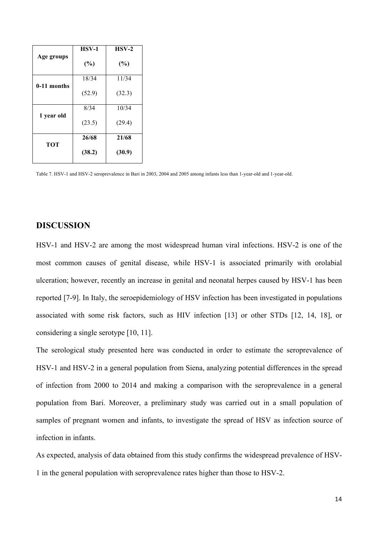|             | $HSV-1$ | $HSV-2$ |
|-------------|---------|---------|
| Age groups  | (%)     | $(\%)$  |
|             | 18/34   | 11/34   |
| 0-11 months | (52.9)  | (32.3)  |
|             | 8/34    | 10/34   |
| 1 year old  | (23.5)  | (29.4)  |
|             | 26/68   | 21/68   |
| <b>TOT</b>  | (38.2)  | (30.9)  |

Table 7. HSV-1 and HSV-2 seroprevalence in Bari in 2003, 2004 and 2005 among infants less than 1-year-old and 1-year-old.

#### **DISCUSSION**

HSV-1 and HSV-2 are among the most widespread human viral infections. HSV-2 is one of the most common causes of genital disease, while HSV-1 is associated primarily with orolabial ulceration; however, recently an increase in genital and neonatal herpes caused by HSV-1 has been reported [7-9]. In Italy, the seroepidemiology of HSV infection has been investigated in populations associated with some risk factors, such as HIV infection [13] or other STDs [12, 14, 18], or considering a single serotype [10, 11].

The serological study presented here was conducted in order to estimate the seroprevalence of HSV-1 and HSV-2 in a general population from Siena, analyzing potential differences in the spread of infection from 2000 to 2014 and making a comparison with the seroprevalence in a general population from Bari. Moreover, a preliminary study was carried out in a small population of samples of pregnant women and infants, to investigate the spread of HSV as infection source of infection in infants.

As expected, analysis of data obtained from this study confirms the widespread prevalence of HSV-1 in the general population with seroprevalence rates higher than those to HSV-2.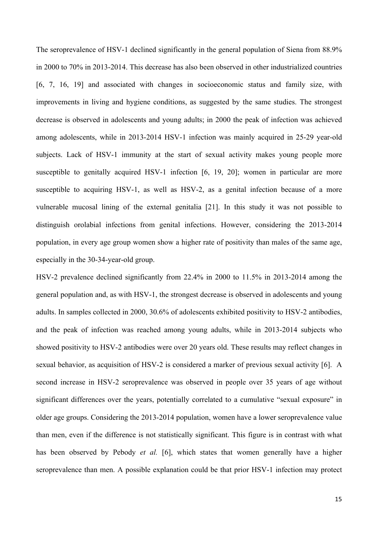The seroprevalence of HSV-1 declined significantly in the general population of Siena from 88.9% in 2000 to 70% in 2013-2014. This decrease has also been observed in other industrialized countries [6, 7, 16, 19] and associated with changes in socioeconomic status and family size, with improvements in living and hygiene conditions, as suggested by the same studies. The strongest decrease is observed in adolescents and young adults; in 2000 the peak of infection was achieved among adolescents, while in 2013-2014 HSV-1 infection was mainly acquired in 25-29 year-old subjects. Lack of HSV-1 immunity at the start of sexual activity makes young people more susceptible to genitally acquired HSV-1 infection [6, 19, 20]; women in particular are more susceptible to acquiring HSV-1, as well as HSV-2, as a genital infection because of a more vulnerable mucosal lining of the external genitalia [21]. In this study it was not possible to distinguish orolabial infections from genital infections. However, considering the 2013-2014 population, in every age group women show a higher rate of positivity than males of the same age, especially in the 30-34-year-old group.

HSV-2 prevalence declined significantly from 22.4% in 2000 to 11.5% in 2013-2014 among the general population and, as with HSV-1, the strongest decrease is observed in adolescents and young adults. In samples collected in 2000, 30.6% of adolescents exhibited positivity to HSV-2 antibodies, and the peak of infection was reached among young adults, while in 2013-2014 subjects who showed positivity to HSV-2 antibodies were over 20 years old. These results may reflect changes in sexual behavior, as acquisition of HSV-2 is considered a marker of previous sexual activity [6]. A second increase in HSV-2 seroprevalence was observed in people over 35 years of age without significant differences over the years, potentially correlated to a cumulative "sexual exposure" in older age groups. Considering the 2013-2014 population, women have a lower seroprevalence value than men, even if the difference is not statistically significant. This figure is in contrast with what has been observed by Pebody *et al.* [6], which states that women generally have a higher seroprevalence than men. A possible explanation could be that prior HSV-1 infection may protect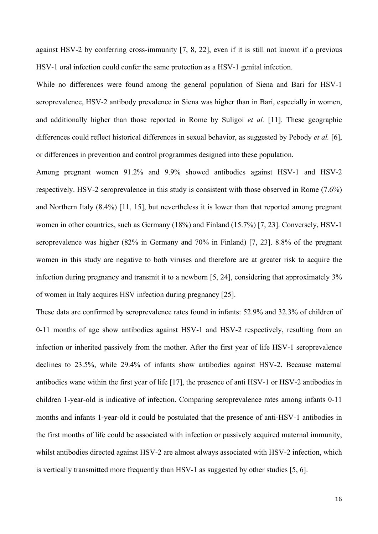against HSV-2 by conferring cross-immunity [7, 8, 22], even if it is still not known if a previous HSV-1 oral infection could confer the same protection as a HSV-1 genital infection.

While no differences were found among the general population of Siena and Bari for HSV-1 seroprevalence, HSV-2 antibody prevalence in Siena was higher than in Bari, especially in women, and additionally higher than those reported in Rome by Suligoi *et al.* [11]. These geographic differences could reflect historical differences in sexual behavior, as suggested by Pebody *et al.* [6], or differences in prevention and control programmes designed into these population.

Among pregnant women 91.2% and 9.9% showed antibodies against HSV-1 and HSV-2 respectively. HSV-2 seroprevalence in this study is consistent with those observed in Rome (7.6%) and Northern Italy (8.4%) [11, 15], but nevertheless it is lower than that reported among pregnant women in other countries, such as Germany (18%) and Finland (15.7%) [7, 23]. Conversely, HSV-1 seroprevalence was higher (82% in Germany and 70% in Finland) [7, 23]. 8.8% of the pregnant women in this study are negative to both viruses and therefore are at greater risk to acquire the infection during pregnancy and transmit it to a newborn [5, 24], considering that approximately 3% of women in Italy acquires HSV infection during pregnancy [25].

These data are confirmed by seroprevalence rates found in infants: 52.9% and 32.3% of children of 0-11 months of age show antibodies against HSV-1 and HSV-2 respectively, resulting from an infection or inherited passively from the mother. After the first year of life HSV-1 seroprevalence declines to 23.5%, while 29.4% of infants show antibodies against HSV-2. Because maternal antibodies wane within the first year of life [17], the presence of anti HSV-1 or HSV-2 antibodies in children 1-year-old is indicative of infection. Comparing seroprevalence rates among infants 0-11 months and infants 1-year-old it could be postulated that the presence of anti-HSV-1 antibodies in the first months of life could be associated with infection or passively acquired maternal immunity, whilst antibodies directed against HSV-2 are almost always associated with HSV-2 infection, which is vertically transmitted more frequently than HSV-1 as suggested by other studies [5, 6].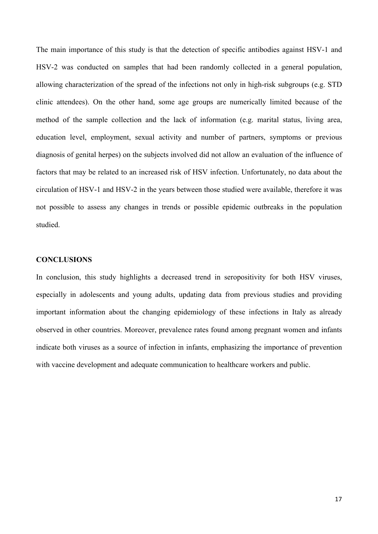The main importance of this study is that the detection of specific antibodies against HSV-1 and HSV-2 was conducted on samples that had been randomly collected in a general population, allowing characterization of the spread of the infections not only in high-risk subgroups (e.g. STD clinic attendees). On the other hand, some age groups are numerically limited because of the method of the sample collection and the lack of information (e.g. marital status, living area, education level, employment, sexual activity and number of partners, symptoms or previous diagnosis of genital herpes) on the subjects involved did not allow an evaluation of the influence of factors that may be related to an increased risk of HSV infection. Unfortunately, no data about the circulation of HSV-1 and HSV-2 in the years between those studied were available, therefore it was not possible to assess any changes in trends or possible epidemic outbreaks in the population studied.

#### **CONCLUSIONS**

In conclusion, this study highlights a decreased trend in seropositivity for both HSV viruses, especially in adolescents and young adults, updating data from previous studies and providing important information about the changing epidemiology of these infections in Italy as already observed in other countries. Moreover, prevalence rates found among pregnant women and infants indicate both viruses as a source of infection in infants, emphasizing the importance of prevention with vaccine development and adequate communication to healthcare workers and public.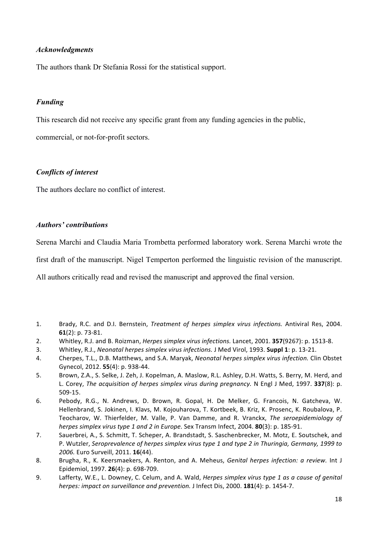#### *Acknowledgments*

The authors thank Dr Stefania Rossi for the statistical support.

#### *Funding*

This research did not receive any specific grant from any funding agencies in the public,

commercial, or not-for-profit sectors.

#### *Conflicts of interest*

The authors declare no conflict of interest.

#### *Authors' contributions*

Serena Marchi and Claudia Maria Trombetta performed laboratory work. Serena Marchi wrote the

first draft of the manuscript. Nigel Temperton performed the linguistic revision of the manuscript.

All authors critically read and revised the manuscript and approved the final version. 

- 1. Brady, R.C. and D.I. Bernstein, *Treatment of herpes simplex virus infections.* Antiviral Res, 2004. **61**(2): p. 73-81.
- 2. Whitley, R.J. and B. Roizman, *Herpes simplex virus infections*. Lancet, 2001. **357**(9267): p. 1513-8.
- 3. Whitley, R.J., *Neonatal herpes simplex virus infections.* J Med Virol, 1993. **Suppl 1**: p. 13-21.
- 4. Cherpes, T.L., D.B. Matthews, and S.A. Maryak, *Neonatal herpes simplex virus infection*. Clin Obstet Gynecol, 2012. **55**(4): p. 938-44.
- 5. Brown, Z.A., S. Selke, J. Zeh, J. Kopelman, A. Maslow, R.L. Ashley, D.H. Watts, S. Berry, M. Herd, and L. Corey, *The acquisition of herpes simplex virus during pregnancy.* N Engl J Med, 1997. **337(8)**: p. 509-15.
- 6. Pebody, R.G., N. Andrews, D. Brown, R. Gopal, H. De Melker, G. Francois, N. Gatcheva, W. Hellenbrand, S. Jokinen, I. Klavs, M. Kojouharova, T. Kortbeek, B. Kriz, K. Prosenc, K. Roubalova, P. Teocharov, W. Thierfelder, M. Valle, P. Van Damme, and R. Vranckx, *The seroepidemiology of herpes simplex virus type 1 and 2 in Europe.* Sex Transm Infect, 2004. **80**(3): p. 185-91.
- 7. Sauerbrei, A., S. Schmitt, T. Scheper, A. Brandstadt, S. Saschenbrecker, M. Motz, E. Soutschek, and P. Wutzler, *Seroprevalence of herpes simplex virus type 1 and type 2 in Thuringia, Germany, 1999 to 2006.* Euro Surveill, 2011. **16**(44).
- 8. Brugha, R., K. Keersmaekers, A. Renton, and A. Meheus, *Genital herpes infection: a review.* Int J Epidemiol, 1997. **26**(4): p. 698-709.
- 9. Lafferty, W.E., L. Downey, C. Celum, and A. Wald, *Herpes simplex virus type 1 as a cause of genital herpes: impact on surveillance and prevention.* J Infect Dis, 2000. **181**(4): p. 1454-7.